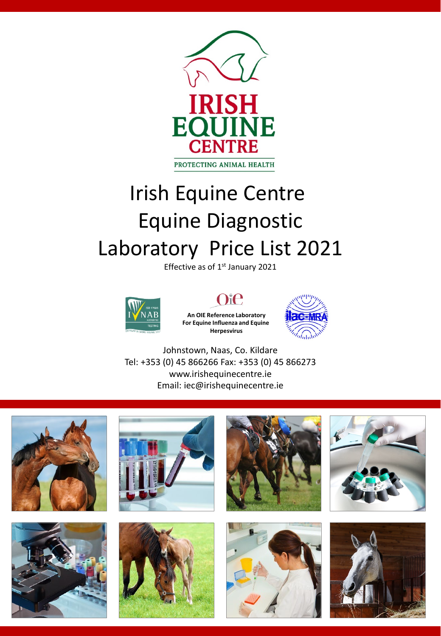

# Irish Equine Centre Equine Diagnostic Laboratory Price List 2021

Effective as of 1<sup>st</sup> January 2021



### Oie

**An OIE Reference Laboratory For Equine Influenza and Equine Herpesvirus**



Johnstown, Naas, Co. Kildare Tel: +353 (0) 45 866266 Fax: +353 (0) 45 866273 www.irishequinecentre.ie Email: iec@irishequinecentre.ie















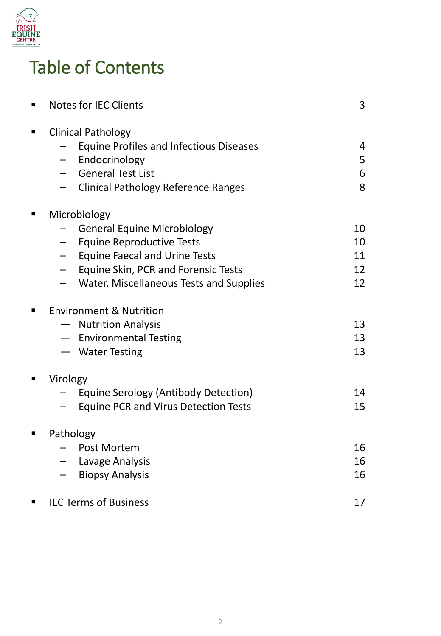

# Table of Contents

| <b>Notes for IEC Clients</b>                                     | 3  |
|------------------------------------------------------------------|----|
| <b>Clinical Pathology</b>                                        |    |
| <b>Equine Profiles and Infectious Diseases</b>                   | 4  |
| Endocrinology<br>$\qquad \qquad -$                               | 5  |
| <b>General Test List</b><br>$\qquad \qquad -$                    | 6  |
| <b>Clinical Pathology Reference Ranges</b>                       | 8  |
| Microbiology                                                     |    |
| <b>General Equine Microbiology</b>                               | 10 |
| <b>Equine Reproductive Tests</b><br>$\overline{\phantom{0}}$     | 10 |
| <b>Equine Faecal and Urine Tests</b><br>$\overline{\phantom{0}}$ | 11 |
| Equine Skin, PCR and Forensic Tests<br>$\overline{\phantom{0}}$  | 12 |
| Water, Miscellaneous Tests and Supplies                          | 12 |
| <b>Environment &amp; Nutrition</b>                               |    |
| <b>Nutrition Analysis</b>                                        | 13 |
| - Environmental Testing                                          | 13 |
| - Water Testing                                                  | 13 |
| Virology                                                         |    |
| <b>Equine Serology (Antibody Detection)</b>                      | 14 |
| <b>Equine PCR and Virus Detection Tests</b>                      | 15 |
| Pathology                                                        |    |
| Post Mortem                                                      | 16 |
| Lavage Analysis                                                  | 16 |
| <b>Biopsy Analysis</b>                                           | 16 |
| <b>IEC Terms of Business</b>                                     | 17 |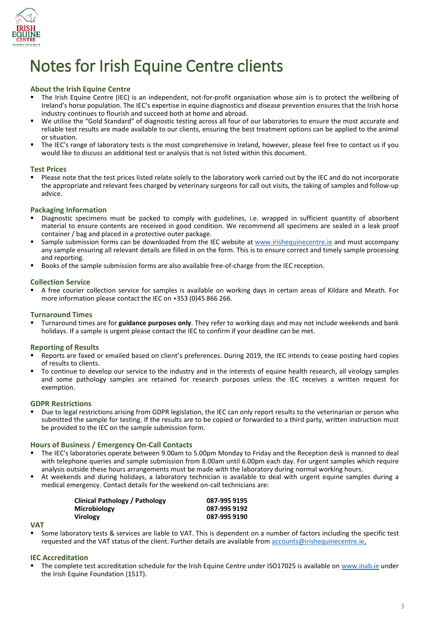

# Notes for Irish Equine Centre clients

#### **About the Irish Equine Centre**

- The Irish Equine Centre (IEC) is an independent, not-for-profit organisation whose aim is to protect the wellbeing of Ireland's horse population. The IEC's expertise in equine diagnostics and disease prevention ensures that the Irish horse industry continues to flourish and succeed both at home and abroad.
- We utilise the "Gold Standard" of diagnostic testing across all four of our laboratories to ensure the most accurate and reliable test results are made available to our clients, ensuring the best treatment options can be applied to the animal or situation.
- The IEC's range of laboratory tests is the most comprehensive in Ireland, however, please feel free to contact us if you would like to discuss an additional test or analysis that is not listed within this document.

#### **Test Prices**

 Please note that the test prices listed relate solely to the laboratory work carried out by the IEC and do not incorporate the appropriate and relevant fees charged by veterinary surgeons for call out visits, the taking of samples and follow-up advice.

#### **Packaging Information**

- Diagnostic specimens must be packed to comply with guidelines, i.e. wrapped in sufficient quantity of absorbent material to ensure contents are received in good condition. We recommend all specimens are sealed in a leak proof container / bag and placed in a protective outer package.
- Sample submission forms can be downloaded from the IEC website at [www.irishequinecentre.ie](http://www.irishequinecentre.ie/) and must accompany any sample ensuring all relevant details are filled in on the form. This is to ensure correct and timely sample processing and reporting.
- Books of the sample submission forms are also available free-of-charge from the IEC reception.

#### **Collection Service**

 A free courier collection service for samples is available on working days in certain areas of Kildare and Meath. For more information please contact the IEC on +353 (0)45 866 266.

#### **Turnaround Times**

 Turnaround times are for **guidance purposes only**. They refer to working days and may not include weekends and bank holidays. If a sample is urgent please contact the IEC to confirm if your deadline can be met.

#### **Reporting of Results**

- Reports are faxed or emailed based on client's preferences. During 2019, the IEC intends to cease posting hard copies of results to clients.
- To continue to develop our service to the industry and in the interests of equine health research, all virology samples and some pathology samples are retained for research purposes unless the IEC receives a written request for exemption.

#### **GDPR Restrictions**

 Due to legal restrictions arising from GDPR legislation, the IEC can only report results to the veterinarian or person who submitted the sample for testing. If the results are to be copied or forwarded to a third party, written instruction must be provided to the IEC on the sample submission form.

#### **Hours of Business / Emergency On-Call Contacts**

- The IEC's laboratories operate between 9.00am to 5.00pm Monday to Friday and the Reception desk is manned to deal with telephone queries and sample submission from 8.00am until 6.00pm each day. For urgent samples which require analysis outside these hours arrangements must be made with the laboratory during normal working hours.
- At weekends and during holidays, a laboratory technician is available to deal with urgent equine samples during a medical emergency. Contact details for the weekend on-call technicians are:

| Clinical Pathology / Pathology | 087-995 9195 |
|--------------------------------|--------------|
| <b>Microbiology</b>            | 087-995 9192 |
| <b>Virology</b>                | 087-995 9190 |

#### **VAT**

 Some laboratory tests & services are liable to VAT. This is dependent on a number of factors including the specific test requested and the VAT status of the client. Further details are available from [accounts@irishequinecentre.ie.](mailto:accounts@irishequinecentre.ie)

#### **IEC Accreditation**

The complete test accreditation schedule for the Irish Equine Centre under ISO17025 is available on [www.inab.ie](http://www.inab.ie/) under the Irish Equine Foundation (151T).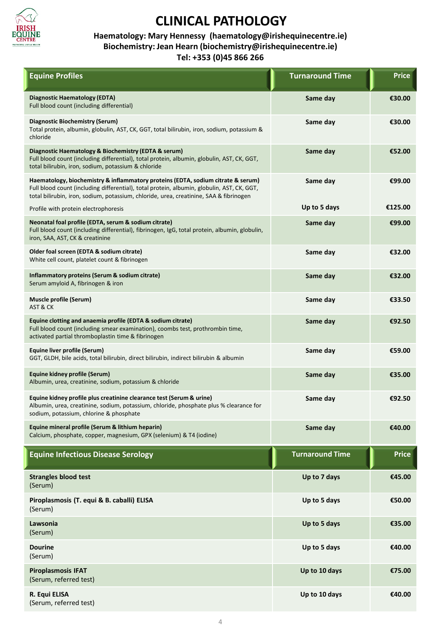

#### **Haematology: Mary Hennessy (haematology@irishequinecentre.ie) Biochemistry: Jean Hearn (biochemistry@irishequinecentre.ie) Tel: +353 (0)45 866 266**

| <b>Equine Profiles</b>                                                                                                                                                                                                                                                   | <b>Turnaround Time</b> | <b>Price</b> |
|--------------------------------------------------------------------------------------------------------------------------------------------------------------------------------------------------------------------------------------------------------------------------|------------------------|--------------|
| Diagnostic Haematology (EDTA)<br>Full blood count (including differential)                                                                                                                                                                                               | Same day               | €30.00       |
| Diagnostic Biochemistry (Serum)<br>Total protein, albumin, globulin, AST, CK, GGT, total bilirubin, iron, sodium, potassium &<br>chloride                                                                                                                                | Same day               | €30.00       |
| Diagnostic Haematology & Biochemistry (EDTA & serum)<br>Full blood count (including differential), total protein, albumin, globulin, AST, CK, GGT,<br>total bilirubin, iron, sodium, potassium & chloride                                                                | Same day               | €52.00       |
| Haematology, biochemistry & inflammatory proteins (EDTA, sodium citrate & serum)<br>Full blood count (including differential), total protein, albumin, globulin, AST, CK, GGT,<br>total bilirubin, iron, sodium, potassium, chloride, urea, creatinine, SAA & fibrinogen | Same day               | €99.00       |
| Profile with protein electrophoresis                                                                                                                                                                                                                                     | Up to 5 days           | €125.00      |
| Neonatal foal profile (EDTA, serum & sodium citrate)<br>Full blood count (including differential), fibrinogen, IgG, total protein, albumin, globulin,<br>iron, SAA, AST, CK & creatinine                                                                                 | Same day               | €99.00       |
| Older foal screen (EDTA & sodium citrate)<br>White cell count, platelet count & fibrinogen                                                                                                                                                                               | Same day               | €32.00       |
| Inflammatory proteins (Serum & sodium citrate)<br>Serum amyloid A, fibrinogen & iron                                                                                                                                                                                     | Same day               | €32.00       |
| Muscle profile (Serum)<br>AST & CK                                                                                                                                                                                                                                       | Same day               | €33.50       |
| Equine clotting and anaemia profile (EDTA & sodium citrate)<br>Full blood count (including smear examination), coombs test, prothrombin time,<br>activated partial thromboplastin time & fibrinogen                                                                      | Same day               | €92.50       |
| Equine liver profile (Serum)<br>GGT, GLDH, bile acids, total bilirubin, direct bilirubin, indirect bilirubin & albumin                                                                                                                                                   | Same day               | €59.00       |
| Equine kidney profile (Serum)<br>Albumin, urea, creatinine, sodium, potassium & chloride                                                                                                                                                                                 | Same day               | €35.00       |
| Equine kidney profile plus creatinine clearance test (Serum & urine)<br>Albumin, urea, creatinine, sodium, potassium, chloride, phosphate plus % clearance for<br>sodium, potassium, chlorine & phosphate                                                                | Same day               | €92.50       |
| Equine mineral profile (Serum & lithium heparin)<br>Calcium, phosphate, copper, magnesium, GPX (selenium) & T4 (iodine)                                                                                                                                                  | Same day               | €40.00       |
| <b>Equine Infectious Disease Serology</b>                                                                                                                                                                                                                                | <b>Turnaround Time</b> | <b>Price</b> |
| <b>Strangles blood test</b><br>(Serum)                                                                                                                                                                                                                                   | Up to 7 days           | €45.00       |
| Piroplasmosis (T. equi & B. caballi) ELISA<br>(Serum)                                                                                                                                                                                                                    | Up to 5 days           | €50.00       |
| Lawsonia<br>(Serum)                                                                                                                                                                                                                                                      | Up to 5 days           | €35.00       |
| <b>Dourine</b><br>(Serum)                                                                                                                                                                                                                                                | Up to 5 days           | €40.00       |
| Piroplasmosis IFAT<br>(Serum, referred test)                                                                                                                                                                                                                             | Up to 10 days          | €75.00       |
| R. Equi ELISA<br>(Serum, referred test)                                                                                                                                                                                                                                  | Up to 10 days          | €40.00       |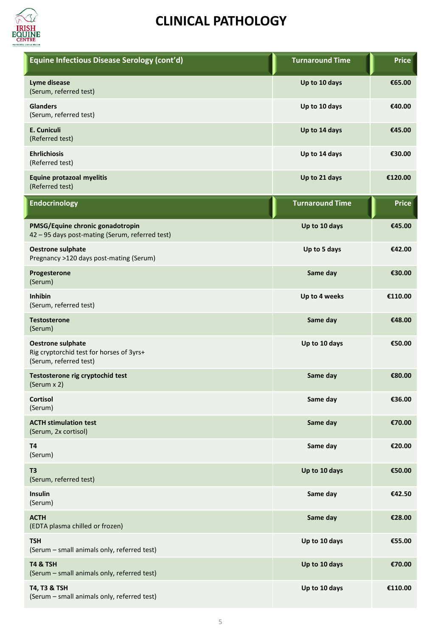

| Equine Infectious Disease Serology (cont'd)                                                    | <b>Turnaround Time</b> | <b>Price</b> |
|------------------------------------------------------------------------------------------------|------------------------|--------------|
| Lyme disease<br>(Serum, referred test)                                                         | Up to 10 days          | €65.00       |
| <b>Glanders</b><br>(Serum, referred test)                                                      | Up to 10 days          | €40.00       |
| E. Cuniculi<br>(Referred test)                                                                 | Up to 14 days          | €45.00       |
| <b>Ehrlichiosis</b><br>(Referred test)                                                         | Up to 14 days          | €30.00       |
| <b>Equine protazoal myelitis</b><br>(Referred test)                                            | Up to 21 days          | €120.00      |
| <b>Endocrinology</b>                                                                           | <b>Turnaround Time</b> | <b>Price</b> |
| PMSG/Equine chronic gonadotropin<br>42 - 95 days post-mating (Serum, referred test)            | Up to 10 days          | €45.00       |
| <b>Oestrone sulphate</b><br>Pregnancy >120 days post-mating (Serum)                            | Up to 5 days           | €42.00       |
| Progesterone<br>(Serum)                                                                        | Same day               | €30.00       |
| <b>Inhibin</b><br>(Serum, referred test)                                                       | Up to 4 weeks          | €110.00      |
| <b>Testosterone</b><br>(Serum)                                                                 | Same day               | €48.00       |
| <b>Oestrone sulphate</b><br>Rig cryptorchid test for horses of 3yrs+<br>(Serum, referred test) | Up to 10 days          | €50.00       |
| Testosterone rig cryptochid test<br>(Serum x 2)                                                | Same day               | €80.00       |
| Cortisol<br>(Serum)                                                                            | Same day               | €36.00       |
| <b>ACTH stimulation test</b><br>(Serum, 2x cortisol)                                           | Same day               | €70.00       |
| T <sub>4</sub><br>(Serum)                                                                      | Same day               | €20.00       |
| T <sub>3</sub><br>(Serum, referred test)                                                       | Up to 10 days          | €50.00       |
| Insulin<br>(Serum)                                                                             | Same day               | €42.50       |
| <b>ACTH</b><br>(EDTA plasma chilled or frozen)                                                 | Same day               | €28.00       |
| <b>TSH</b><br>(Serum - small animals only, referred test)                                      | Up to 10 days          | €55.00       |
| <b>T4 &amp; TSH</b><br>(Serum - small animals only, referred test)                             | Up to 10 days          | €70.00       |
| T4, T3 & TSH<br>(Serum - small animals only, referred test)                                    | Up to 10 days          | €110.00      |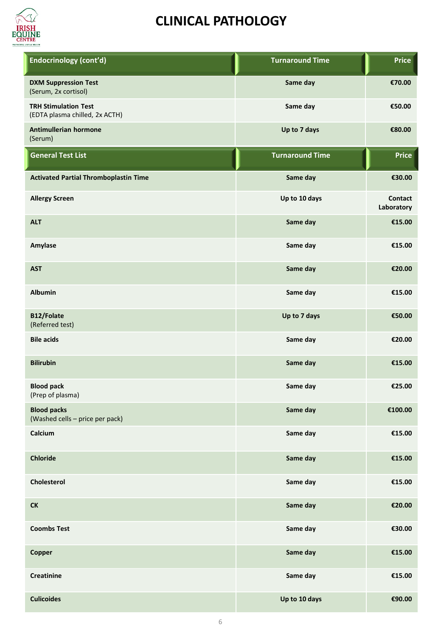

| <b>Endocrinology (cont'd)</b>                                 | <b>Turnaround Time</b> | <b>Price</b>                 |
|---------------------------------------------------------------|------------------------|------------------------------|
| <b>DXM Suppression Test</b><br>(Serum, 2x cortisol)           | Same day               | €70.00                       |
| <b>TRH Stimulation Test</b><br>(EDTA plasma chilled, 2x ACTH) | Same day               | €50.00                       |
| Antimullerian hormone<br>(Serum)                              | Up to 7 days           | €80.00                       |
| <b>General Test List</b>                                      | <b>Turnaround Time</b> | <b>Price</b>                 |
| <b>Activated Partial Thromboplastin Time</b>                  | Same day               | €30.00                       |
| <b>Allergy Screen</b>                                         | Up to 10 days          | <b>Contact</b><br>Laboratory |
| <b>ALT</b>                                                    | Same day               | €15.00                       |
| Amylase                                                       | Same day               | €15.00                       |
| <b>AST</b>                                                    | Same day               | €20.00                       |
| <b>Albumin</b>                                                | Same day               | €15.00                       |
| B12/Folate<br>(Referred test)                                 | Up to 7 days           | €50.00                       |
| <b>Bile acids</b>                                             | Same day               | €20.00                       |
| <b>Bilirubin</b>                                              | Same day               | €15.00                       |
| <b>Blood pack</b><br>(Prep of plasma)                         | Same day               | €25.00                       |
| <b>Blood packs</b><br>(Washed cells - price per pack)         | Same day               | €100.00                      |
| Calcium                                                       | Same day               | €15.00                       |
| <b>Chloride</b>                                               | Same day               | €15.00                       |
| Cholesterol                                                   | Same day               | €15.00                       |
| ${\sf C}{\sf K}$                                              | Same day               | €20.00                       |
| <b>Coombs Test</b>                                            | Same day               | €30.00                       |
| <b>Copper</b>                                                 | Same day               | €15.00                       |
| <b>Creatinine</b>                                             | Same day               | €15.00                       |
| <b>Culicoides</b>                                             | Up to 10 days          | €90.00                       |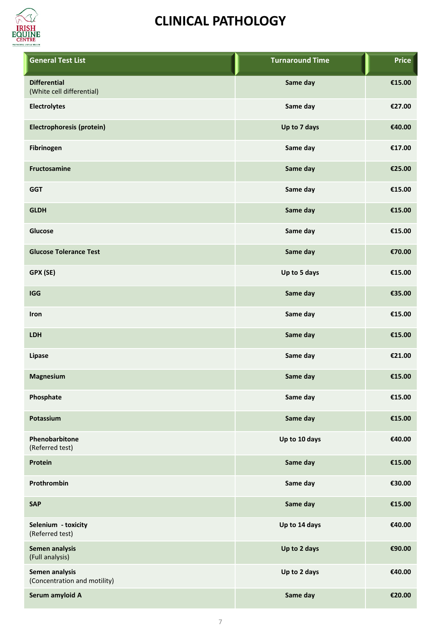

| <b>General Test List</b>                         | <b>Turnaround Time</b> | <b>Price</b> |  |
|--------------------------------------------------|------------------------|--------------|--|
| <b>Differential</b><br>(White cell differential) | Same day               | €15.00       |  |
| <b>Electrolytes</b>                              | Same day               | €27.00       |  |
| Electrophoresis (protein)                        | Up to 7 days           | €40.00       |  |
| Fibrinogen                                       | Same day               | €17.00       |  |
| Fructosamine                                     | Same day               | €25.00       |  |
| <b>GGT</b>                                       | Same day               | €15.00       |  |
| <b>GLDH</b>                                      | Same day               | €15.00       |  |
| Glucose                                          | Same day               | €15.00       |  |
| <b>Glucose Tolerance Test</b>                    | Same day               | €70.00       |  |
| GPX (SE)                                         | Up to 5 days           | €15.00       |  |
| <b>IGG</b>                                       | Same day               | €35.00       |  |
| Iron                                             | Same day               | €15.00       |  |
| <b>LDH</b>                                       | Same day               | €15.00       |  |
| Lipase                                           | Same day               | €21.00       |  |
| Magnesium                                        | Same day               | €15.00       |  |
| Phosphate                                        | Same day               | €15.00       |  |
| Potassium                                        | Same day               | €15.00       |  |
| Phenobarbitone<br>(Referred test)                | Up to 10 days          | €40.00       |  |
| Protein                                          | Same day               | €15.00       |  |
| Prothrombin                                      | Same day               | €30.00       |  |
| <b>SAP</b>                                       | Same day               | €15.00       |  |
| Selenium - toxicity<br>(Referred test)           | Up to 14 days          | €40.00       |  |
| Semen analysis<br>(Full analysis)                | Up to 2 days           | €90.00       |  |
| Semen analysis<br>(Concentration and motility)   | Up to 2 days           | €40.00       |  |
| Serum amyloid A                                  | Same day               | €20.00       |  |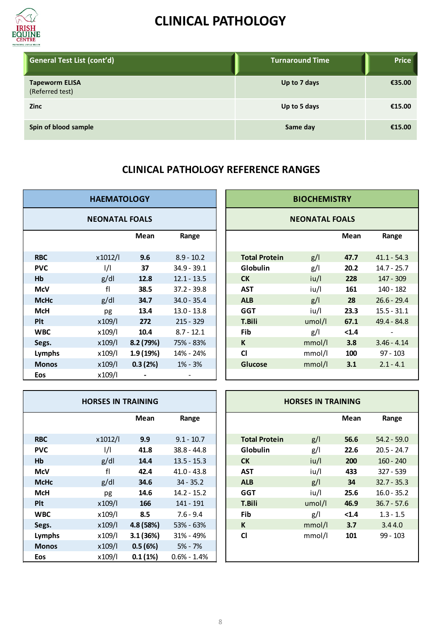

| General Test List (cont'd)               | <b>Turnaround Time</b> | <b>Price</b> |
|------------------------------------------|------------------------|--------------|
| <b>Tapeworm ELISA</b><br>(Referred test) | Up to 7 days           | €35.00       |
| <b>Zinc</b>                              | Up to 5 days           | €15.00       |
| Spin of blood sample                     | Same day               | €15.00       |

#### **CLINICAL PATHOLOGY REFERENCE RANGES**

| <b>HAEMATOLOGY</b> |                       |          |               |  |                      | <b>BIOCHEMISTRY</b>   |       |               |
|--------------------|-----------------------|----------|---------------|--|----------------------|-----------------------|-------|---------------|
|                    | <b>NEONATAL FOALS</b> |          |               |  |                      | <b>NEONATAL FOALS</b> |       |               |
|                    |                       | Mean     | Range         |  |                      |                       | Mean  | Range         |
| <b>RBC</b>         | x1012/l               | 9.6      | $8.9 - 10.2$  |  | <b>Total Protein</b> | g/                    | 47.7  | $41.1 - 54.3$ |
| <b>PVC</b>         | $\frac{1}{1}$         | 37       | $34.9 - 39.1$ |  | Globulin             | g/l                   | 20.2  | $14.7 - 25.7$ |
| Hb                 | g/dl                  | 12.8     | $12.1 - 13.5$ |  | <b>CK</b>            | iu/l                  | 228   | $147 - 309$   |
| <b>McV</b>         | fl                    | 38.5     | $37.2 - 39.8$ |  | <b>AST</b>           | iu/l                  | 161   | 140 - 182     |
| <b>McHc</b>        | g/dl                  | 34.7     | $34.0 - 35.4$ |  | <b>ALB</b>           | g/                    | 28    | $26.6 - 29.4$ |
| <b>McH</b>         | pg                    | 13.4     | $13.0 - 13.8$ |  | <b>GGT</b>           | iu/l                  | 23.3  | $15.5 - 31.1$ |
| <b>Plt</b>         | x109/l                | 272      | $215 - 329$   |  | <b>T.Bili</b>        | umol/l                | 67.1  | 49.4 - 84.8   |
| <b>WBC</b>         | x109/l                | 10.4     | $8.7 - 12.1$  |  | Fib                  | g/                    | < 1.4 |               |
| Segs.              | x109/l                | 8.2(79%) | 75% - 83%     |  | K                    | mmol/l                | 3.8   | $3.46 - 4.14$ |
| Lymphs             | x109/l                | 1.9(19%) | 14% - 24%     |  | <b>CI</b>            | mmol/l                | 100   | $97 - 103$    |
| <b>Monos</b>       | x109/l                | 0.3(2%)  | $1\% - 3\%$   |  | <b>Glucose</b>       | mmol/l                | 3.1   | $2.1 - 4.1$   |
| Eos                | x109/l                |          |               |  |                      |                       |       |               |

| <b>DGY</b>  |               | <b>BIOCHEMISTRY</b>   |        |       |               |  |  |
|-------------|---------------|-----------------------|--------|-------|---------------|--|--|
| <b>DALS</b> |               | <b>NEONATAL FOALS</b> |        |       |               |  |  |
| Mean        | Range         |                       |        | Mean  | Range         |  |  |
| 9.6         | $8.9 - 10.2$  | <b>Total Protein</b>  | g/l    | 47.7  | $41.1 - 54.3$ |  |  |
| 37          | $34.9 - 39.1$ | <b>Globulin</b>       | g/     | 20.2  | $14.7 - 25.7$ |  |  |
| 12.8        | $12.1 - 13.5$ | <b>CK</b>             | iu/l   | 228   | 147 - 309     |  |  |
| 38.5        | $37.2 - 39.8$ | <b>AST</b>            | iu/l   | 161   | 140 - 182     |  |  |
| 34.7        | $34.0 - 35.4$ | <b>ALB</b>            | g/l    | 28    | $26.6 - 29.4$ |  |  |
| 13.4        | $13.0 - 13.8$ | <b>GGT</b>            | iu/l   | 23.3  | $15.5 - 31.1$ |  |  |
| 272         | $215 - 329$   | <b>T.Bili</b>         | umol/l | 67.1  | $49.4 - 84.8$ |  |  |
| 10.4        | $8.7 - 12.1$  | Fib                   | g/l    | < 1.4 |               |  |  |
| 2 (79%)     | 75% - 83%     | K                     | mmol/l | 3.8   | $3.46 - 4.14$ |  |  |
| 9 (19%)     | 14% - 24%     | <b>CI</b>             | mmol/l | 100   | $97 - 103$    |  |  |
| .3(2%)      | $1\% - 3\%$   | Glucose               | mmol/l | 3.1   | $2.1 - 4.1$   |  |  |
|             |               |                       |        |       |               |  |  |

| <b>HORSES IN TRAINING</b> |               |          |                 |  | <b>HORSES IN TRAINING</b> |        |       |               |
|---------------------------|---------------|----------|-----------------|--|---------------------------|--------|-------|---------------|
|                           |               | Mean     | Range           |  |                           |        | Mean  | Range         |
| <b>RBC</b>                | x1012/l       | 9.9      | $9.1 - 10.7$    |  | <b>Total Protein</b>      | g/1    | 56.6  | $54.2 - 59.0$ |
| <b>PVC</b>                | $\frac{1}{1}$ | 41.8     | $38.8 - 44.8$   |  | Globulin                  | g/     | 22.6  | $20.5 - 24.7$ |
| Hb                        | g/dl          | 14.4     | $13.5 - 15.3$   |  | <b>CK</b>                 | iu/l   | 200   | $160 - 240$   |
| <b>McV</b>                | fl            | 42.4     | $41.0 - 43.8$   |  | <b>AST</b>                | iu/l   | 433   | $327 - 539$   |
| <b>McHc</b>               | g/dl          | 34.6     | $34 - 35.2$     |  | <b>ALB</b>                | g/l    | 34    | $32.7 - 35.3$ |
| <b>McH</b>                | pg            | 14.6     | $14.2 - 15.2$   |  | <b>GGT</b>                | iu/l   | 25.6  | $16.0 - 35.2$ |
| <b>Plt</b>                | x109/l        | 166      | 141 - 191       |  | <b>T.Bili</b>             | umol/l | 46.9  | $36.7 - 57.6$ |
| <b>WBC</b>                | x109/l        | 8.5      | $7.6 - 9.4$     |  | Fib                       | g/     | < 1.4 | $1.3 - 1.5$   |
| Segs.                     | x109/l        | 4.8(58%) | $53\% - 63\%$   |  | K                         | mmol/l | 3.7   | 3.44.0        |
| Lymphs                    | x109/l        | 3.1(36%) | $31\% - 49\%$   |  | <b>CI</b>                 | mmol/l | 101   | 99 - 103      |
| <b>Monos</b>              | x109/l        | 0.5(6%)  | $5% - 7%$       |  |                           |        |       |               |
| <b>Eos</b>                | x109/l        | 0.1(1%)  | $0.6\% - 1.4\%$ |  |                           |        |       |               |

| <b>INING</b> |                 |  | <b>HORSES IN TRAINING</b> |        |       |               |  |
|--------------|-----------------|--|---------------------------|--------|-------|---------------|--|
| Mean         | Range           |  |                           |        | Mean  | Range         |  |
| 9.9          | $9.1 - 10.7$    |  | <b>Total Protein</b>      | g/l    | 56.6  | $54.2 - 59.0$ |  |
| 41.8         | $38.8 - 44.8$   |  | <b>Globulin</b>           | g/l    | 22.6  | $20.5 - 24.7$ |  |
| 14.4         | $13.5 - 15.3$   |  | <b>CK</b>                 | iu/l   | 200   | $160 - 240$   |  |
| 42.4         | $41.0 - 43.8$   |  | AST                       | iu/l   | 433   | $327 - 539$   |  |
| 34.6         | $34 - 35.2$     |  | <b>ALB</b>                | g/l    | 34    | $32.7 - 35.3$ |  |
| 14.6         | $14.2 - 15.2$   |  | <b>GGT</b>                | iu/l   | 25.6  | $16.0 - 35.2$ |  |
| 166          | 141 - 191       |  | <b>T.Bili</b>             | umol/l | 46.9  | $36.7 - 57.6$ |  |
| 8.5          | $7.6 - 9.4$     |  | Fib                       | g/l    | < 1.4 | $1.3 - 1.5$   |  |
| 8 (58%)      | 53% - 63%       |  | K                         | mmol/l | 3.7   | 3.44.0        |  |
| 1 (36%)      | 31% - 49%       |  | CI                        | mmol/l | 101   | $99 - 103$    |  |
| .5 (6%)      | 5% - 7%         |  |                           |        |       |               |  |
| 0.1(1%)      | $0.6\% - 1.4\%$ |  |                           |        |       |               |  |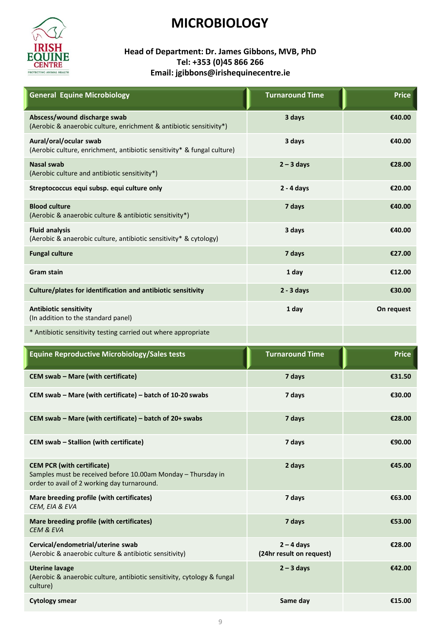

#### **Head of Department: Dr. James Gibbons, MVB, PhD Tel: +353 (0)45 866 266 Email: jgibbons@irishequinecentre.ie**

| <b>General Equine Microbiology</b>                                                                                                               | <b>Turnaround Time</b>                   | <b>Price</b> |
|--------------------------------------------------------------------------------------------------------------------------------------------------|------------------------------------------|--------------|
| Abscess/wound discharge swab<br>(Aerobic & anaerobic culture, enrichment & antibiotic sensitivity*)                                              | 3 days                                   | €40.00       |
| Aural/oral/ocular swab<br>(Aerobic culture, enrichment, antibiotic sensitivity* & fungal culture)                                                | 3 days                                   | €40.00       |
| <b>Nasal swab</b><br>(Aerobic culture and antibiotic sensitivity*)                                                                               | $2 - 3$ days                             | €28.00       |
| Streptococcus equi subsp. equi culture only                                                                                                      | $2 - 4$ days                             | €20.00       |
| <b>Blood culture</b><br>(Aerobic & anaerobic culture & antibiotic sensitivity*)                                                                  | 7 days                                   | €40.00       |
| <b>Fluid analysis</b><br>(Aerobic & anaerobic culture, antibiotic sensitivity* & cytology)                                                       | 3 days                                   | €40.00       |
| <b>Fungal culture</b>                                                                                                                            | 7 days                                   | €27.00       |
| <b>Gram stain</b>                                                                                                                                | 1 day                                    | €12.00       |
| Culture/plates for identification and antibiotic sensitivity                                                                                     | $2 - 3$ days                             | €30.00       |
| <b>Antibiotic sensitivity</b><br>(In addition to the standard panel)                                                                             | 1 day                                    | On request   |
| * Antibiotic sensitivity testing carried out where appropriate                                                                                   |                                          |              |
| <b>Equine Reproductive Microbiology/Sales tests</b>                                                                                              | <b>Turnaround Time</b>                   | <b>Price</b> |
| CEM swab - Mare (with certificate)                                                                                                               | 7 days                                   | €31.50       |
| CEM swab - Mare (with certificate) - batch of 10-20 swabs                                                                                        | 7 days                                   | €30.00       |
| CEM swab - Mare (with certificate) - batch of 20+ swabs                                                                                          | 7 days                                   | €28.00       |
| CEM swab - Stallion (with certificate)                                                                                                           | 7 days                                   | €90.00       |
| <b>CEM PCR (with certificate)</b><br>Samples must be received before 10.00am Monday - Thursday in<br>order to avail of 2 working day turnaround. | 2 days                                   | €45.00       |
| Mare breeding profile (with certificates)<br>CEM, EIA & EVA                                                                                      | 7 days                                   | €63.00       |
| Mare breeding profile (with certificates)<br><b>CEM &amp; EVA</b>                                                                                | 7 days                                   | €53.00       |
| Cervical/endometrial/uterine swab<br>(Aerobic & anaerobic culture & antibiotic sensitivity)                                                      | $2 - 4$ days<br>(24hr result on request) | €28.00       |
| <b>Uterine lavage</b><br>(Aerobic & anaerobic culture, antibiotic sensitivity, cytology & fungal<br>culture)                                     | $2 - 3$ days                             | €42.00       |
| <b>Cytology smear</b>                                                                                                                            | Same day                                 | €15.00       |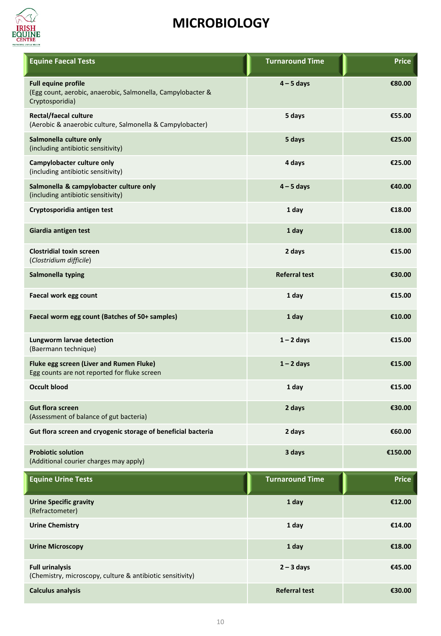

| <b>Equine Faecal Tests</b>                                                                                   | <b>Turnaround Time</b> | <b>Price</b> |
|--------------------------------------------------------------------------------------------------------------|------------------------|--------------|
| <b>Full equine profile</b><br>(Egg count, aerobic, anaerobic, Salmonella, Campylobacter &<br>Cryptosporidia) | $4 - 5$ days           | €80.00       |
| <b>Rectal/faecal culture</b><br>(Aerobic & anaerobic culture, Salmonella & Campylobacter)                    | 5 days                 | €55.00       |
| Salmonella culture only<br>(including antibiotic sensitivity)                                                | 5 days                 | €25.00       |
| Campylobacter culture only<br>(including antibiotic sensitivity)                                             | 4 days                 | €25.00       |
| Salmonella & campylobacter culture only<br>(including antibiotic sensitivity)                                | $4 - 5$ days           | €40.00       |
| Cryptosporidia antigen test                                                                                  | 1 day                  | €18.00       |
| Giardia antigen test                                                                                         | 1 day                  | €18.00       |
| <b>Clostridial toxin screen</b><br>(Clostridium difficile)                                                   | 2 days                 | €15.00       |
| Salmonella typing                                                                                            | <b>Referral test</b>   | €30.00       |
| Faecal work egg count                                                                                        | 1 day                  | €15.00       |
| Faecal worm egg count (Batches of 50+ samples)                                                               | 1 day                  | €10.00       |
| Lungworm larvae detection<br>(Baermann technique)                                                            | $1 - 2$ days           | €15.00       |
| Fluke egg screen (Liver and Rumen Fluke)<br>Egg counts are not reported for fluke screen                     | $1 - 2$ days           | €15.00       |
| <b>Occult blood</b>                                                                                          | 1 day                  | €15.00       |
| <b>Gut flora screen</b><br>(Assessment of balance of gut bacteria)                                           | 2 days                 | €30.00       |
| Gut flora screen and cryogenic storage of beneficial bacteria                                                | 2 days                 | €60.00       |
| <b>Probiotic solution</b><br>(Additional courier charges may apply)                                          | 3 days                 | €150.00      |
| <b>Equine Urine Tests</b>                                                                                    | <b>Turnaround Time</b> | <b>Price</b> |
| <b>Urine Specific gravity</b><br>(Refractometer)                                                             | 1 day                  | €12.00       |
| <b>Urine Chemistry</b>                                                                                       | 1 day                  | €14.00       |
| <b>Urine Microscopy</b>                                                                                      | 1 day                  | €18.00       |
| <b>Full urinalysis</b><br>(Chemistry, microscopy, culture & antibiotic sensitivity)                          | $2 - 3$ days           | €45.00       |
| <b>Calculus analysis</b>                                                                                     | <b>Referral test</b>   | €30.00       |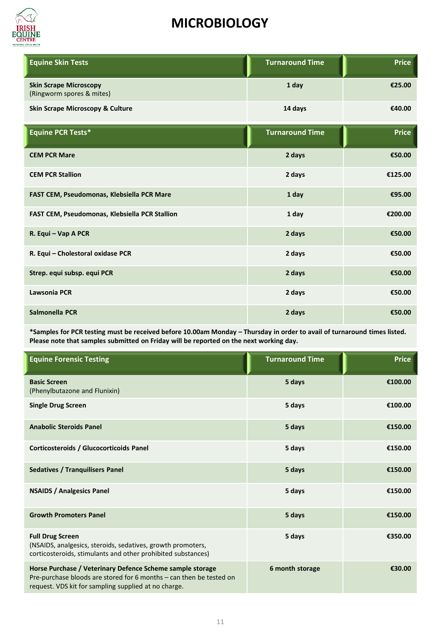

| <b>Equine Skin Tests</b>                                   | <b>Turnaround Time</b> | <b>Price</b> |
|------------------------------------------------------------|------------------------|--------------|
| <b>Skin Scrape Microscopy</b><br>(Ringworm spores & mites) | 1 day                  | €25.00       |
| <b>Skin Scrape Microscopy &amp; Culture</b>                | 14 days                | €40.00       |
| Equine PCR Tests*                                          | <b>Turnaround Time</b> | <b>Price</b> |
| <b>CEM PCR Mare</b>                                        | 2 days                 | €50.00       |
| <b>CEM PCR Stallion</b>                                    | 2 days                 | €125.00      |
| FAST CEM, Pseudomonas, Klebsiella PCR Mare                 | 1 day                  | €95.00       |
| FAST CEM, Pseudomonas, Klebsiella PCR Stallion             | 1 day                  | €200.00      |
| R. Equi - Vap A PCR                                        | 2 days                 | €50.00       |
| R. Equi - Cholestoral oxidase PCR                          | 2 days                 | €50.00       |
| Strep. equi subsp. equi PCR                                | 2 days                 | €50.00       |
| Lawsonia PCR                                               | 2 days                 | €50.00       |
| Salmonella PCR                                             | 2 days                 | €50.00       |

**\*Samples for PCR testing must be received before 10.00am Monday – Thursday in order to avail of turnaround times listed. Please note that samples submitted on Friday will be reported on the next working day.** 

| <b>Equine Forensic Testing</b>                                                                                                                                                           | <b>Turnaround Time</b> | <b>Price</b> |
|------------------------------------------------------------------------------------------------------------------------------------------------------------------------------------------|------------------------|--------------|
| <b>Basic Screen</b><br>(Phenylbutazone and Flunixin)                                                                                                                                     | 5 days                 | €100.00      |
| <b>Single Drug Screen</b>                                                                                                                                                                | 5 days                 | €100.00      |
| <b>Anabolic Steroids Panel</b>                                                                                                                                                           | 5 days                 | €150.00      |
| Corticosteroids / Glucocorticoids Panel                                                                                                                                                  | 5 days                 | €150.00      |
| <b>Sedatives / Tranquilisers Panel</b>                                                                                                                                                   | 5 days                 | €150.00      |
| <b>NSAIDS / Analgesics Panel</b>                                                                                                                                                         | 5 days                 | €150.00      |
| <b>Growth Promoters Panel</b>                                                                                                                                                            | 5 days                 | €150.00      |
| <b>Full Drug Screen</b><br>(NSAIDS, analgesics, steroids, sedatives, growth promoters,<br>corticosteroids, stimulants and other prohibited substances)                                   | 5 days                 | €350.00      |
| Horse Purchase / Veterinary Defence Scheme sample storage<br>Pre-purchase bloods are stored for 6 months – can then be tested on<br>request. VDS kit for sampling supplied at no charge. | 6 month storage        | €30.00       |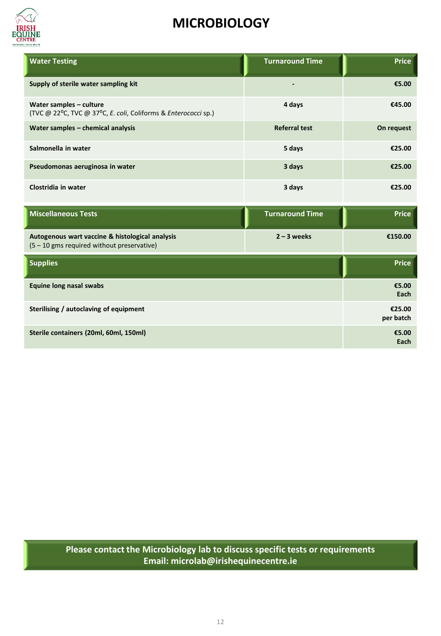

| <b>Water Testing</b>                                                                          | <b>Turnaround Time</b> | <b>Price</b>        |
|-----------------------------------------------------------------------------------------------|------------------------|---------------------|
| Supply of sterile water sampling kit                                                          |                        | €5.00               |
| Water samples - culture<br>(TVC @ 22°C, TVC @ 37°C, E. coli, Coliforms & Enterococci sp.)     | 4 days                 | €45.00              |
| Water samples - chemical analysis                                                             | <b>Referral test</b>   | On request          |
| Salmonella in water                                                                           | 5 days                 | €25.00              |
| Pseudomonas aeruginosa in water                                                               | 3 days                 | €25.00              |
| Clostridia in water                                                                           | 3 days                 | €25.00              |
| <b>Miscellaneous Tests</b>                                                                    | <b>Turnaround Time</b> | <b>Price</b>        |
| Autogenous wart vaccine & histological analysis<br>(5 - 10 gms required without preservative) | $2 - 3$ weeks          | €150.00             |
| <b>Supplies</b>                                                                               |                        | <b>Price</b>        |
| <b>Equine long nasal swabs</b>                                                                |                        | €5.00<br>Each       |
| Sterilising / autoclaving of equipment                                                        |                        | €25.00<br>per batch |
| Sterile containers (20ml, 60ml, 150ml)                                                        |                        | €5.00<br>Each       |

**Please contact the Microbiology lab to discuss specific tests or requirements Email: microlab@irishequinecentre.ie**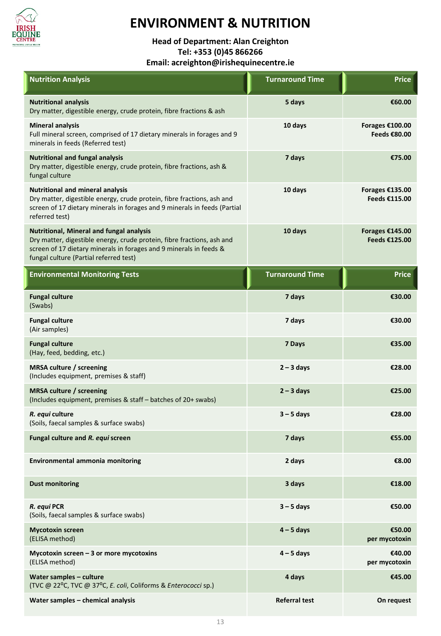

### **ENVIRONMENT & NUTRITION**

**Head of Department: Alan Creighton Tel: +353 (0)45 866266**

**Email: acreighton@irishequinecentre.ie**

| <b>Nutrition Analysis</b>                                                                                                                                                                                                          | <b>Turnaround Time</b> | <b>Price</b>                     |
|------------------------------------------------------------------------------------------------------------------------------------------------------------------------------------------------------------------------------------|------------------------|----------------------------------|
| <b>Nutritional analysis</b><br>Dry matter, digestible energy, crude protein, fibre fractions & ash                                                                                                                                 | 5 days                 | €60.00                           |
| <b>Mineral analysis</b><br>Full mineral screen, comprised of 17 dietary minerals in forages and 9<br>minerals in feeds (Referred test)                                                                                             | 10 days                | Forages €100.00<br>Feeds €80.00  |
| <b>Nutritional and fungal analysis</b><br>Dry matter, digestible energy, crude protein, fibre fractions, ash &<br>fungal culture                                                                                                   | 7 days                 | €75.00                           |
| <b>Nutritional and mineral analysis</b><br>Dry matter, digestible energy, crude protein, fibre fractions, ash and<br>screen of 17 dietary minerals in forages and 9 minerals in feeds (Partial<br>referred test)                   | 10 days                | Forages €135.00<br>Feeds €115.00 |
| Nutritional, Mineral and fungal analysis<br>Dry matter, digestible energy, crude protein, fibre fractions, ash and<br>screen of 17 dietary minerals in forages and 9 minerals in feeds &<br>fungal culture (Partial referred test) | 10 days                | Forages €145.00<br>Feeds €125.00 |
| <b>Environmental Monitoring Tests</b>                                                                                                                                                                                              | <b>Turnaround Time</b> | <b>Price</b>                     |
| <b>Fungal culture</b><br>(Swabs)                                                                                                                                                                                                   | 7 days                 | €30.00                           |
| <b>Fungal culture</b><br>(Air samples)                                                                                                                                                                                             | 7 days                 | €30.00                           |
| <b>Fungal culture</b><br>(Hay, feed, bedding, etc.)                                                                                                                                                                                | 7 Days                 | €35.00                           |
| <b>MRSA culture / screening</b><br>(Includes equipment, premises & staff)                                                                                                                                                          | $2 - 3$ days           | €28.00                           |
| <b>MRSA culture / screening</b><br>(Includes equipment, premises & staff - batches of 20+ swabs)                                                                                                                                   | $2 - 3$ days           | €25.00                           |
| R. equi culture<br>(Soils, faecal samples & surface swabs)                                                                                                                                                                         | $3 - 5$ days           | €28.00                           |
| Fungal culture and R. equi screen                                                                                                                                                                                                  | 7 days                 | €55.00                           |
| <b>Environmental ammonia monitoring</b>                                                                                                                                                                                            | 2 days                 | €8.00                            |
| <b>Dust monitoring</b>                                                                                                                                                                                                             | 3 days                 | €18.00                           |
| R. equi PCR<br>(Soils, faecal samples & surface swabs)                                                                                                                                                                             | $3 - 5$ days           | €50.00                           |
| <b>Mycotoxin screen</b><br>(ELISA method)                                                                                                                                                                                          | $4 - 5$ days           | €50.00<br>per mycotoxin          |
| Mycotoxin screen $-3$ or more mycotoxins<br>(ELISA method)                                                                                                                                                                         | $4 - 5$ days           | €40.00<br>per mycotoxin          |
| Water samples - culture<br>(TVC @ 22°C, TVC @ 37°C, E. coli, Coliforms & Enterococci sp.)                                                                                                                                          | 4 days                 | €45.00                           |
| Water samples - chemical analysis                                                                                                                                                                                                  | <b>Referral test</b>   | On request                       |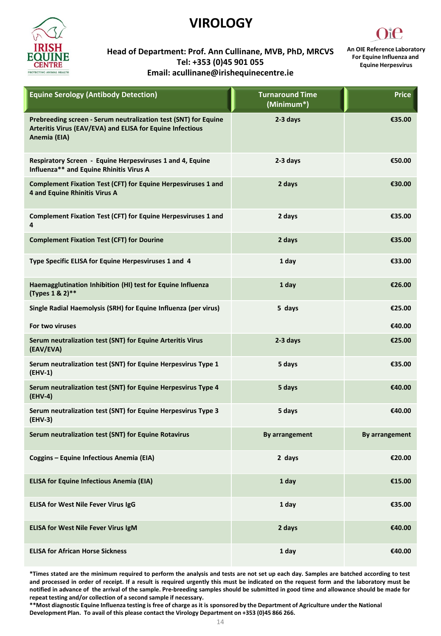

### **VIROLOGY**



**Head of Department: Prof. Ann Cullinane, MVB, PhD, MRCVS Tel: +353 (0)45 901 055 Email: acullinane@irishequinecentre.ie**

**An OIE Reference Laboratory For Equine Influenza and Equine Herpesvirus**

| <b>Equine Serology (Antibody Detection)</b>                                                                                                  | <b>Turnaround Time</b><br>(Minimum*) | <b>Price</b>          |
|----------------------------------------------------------------------------------------------------------------------------------------------|--------------------------------------|-----------------------|
| Prebreeding screen - Serum neutralization test (SNT) for Equine<br>Arteritis Virus (EAV/EVA) and ELISA for Equine Infectious<br>Anemia (EIA) | 2-3 days                             | €35.00                |
| Respiratory Screen - Equine Herpesviruses 1 and 4, Equine<br>Influenza** and Equine Rhinitis Virus A                                         | 2-3 days                             | €50.00                |
| Complement Fixation Test (CFT) for Equine Herpesviruses 1 and<br>4 and Equine Rhinitis Virus A                                               | 2 days                               | €30.00                |
| Complement Fixation Test (CFT) for Equine Herpesviruses 1 and<br>4                                                                           | 2 days                               | €35.00                |
| <b>Complement Fixation Test (CFT) for Dourine</b>                                                                                            | 2 days                               | €35.00                |
| Type Specific ELISA for Equine Herpesviruses 1 and 4                                                                                         | 1 day                                | €33.00                |
| Haemagglutination Inhibition (HI) test for Equine Influenza<br>(Types 1 & 2)**                                                               | 1 day                                | €26.00                |
| Single Radial Haemolysis (SRH) for Equine Influenza (per virus)                                                                              | 5 days                               | €25.00                |
| For two viruses                                                                                                                              |                                      | €40.00                |
| Serum neutralization test (SNT) for Equine Arteritis Virus<br>(EAV/EVA)                                                                      | 2-3 days                             | €25.00                |
| Serum neutralization test (SNT) for Equine Herpesvirus Type 1<br>(EHV-1)                                                                     | 5 days                               | €35.00                |
| Serum neutralization test (SNT) for Equine Herpesvirus Type 4<br>(EHV-4)                                                                     | 5 days                               | €40.00                |
| Serum neutralization test (SNT) for Equine Herpesvirus Type 3<br>$(EHV-3)$                                                                   | 5 days                               | €40.00                |
| Serum neutralization test (SNT) for Equine Rotavirus                                                                                         | By arrangement                       | <b>By arrangement</b> |
| Coggins - Equine Infectious Anemia (EIA)                                                                                                     | 2 days                               | €20.00                |
| <b>ELISA for Equine Infectious Anemia (EIA)</b>                                                                                              | 1 day                                | €15.00                |
| ELISA for West Nile Fever Virus IgG                                                                                                          | 1 day                                | €35.00                |
| <b>ELISA for West Nile Fever Virus IgM</b>                                                                                                   | 2 days                               | €40.00                |
| <b>ELISA for African Horse Sickness</b>                                                                                                      | 1 day                                | €40.00                |

\*Times stated are the minimum required to perform the analysis and tests are not set up each day. Samples are batched according to test and processed in order of receipt. If a result is required urgently this must be indicated on the request form and the laboratory must be notified in advance of the arrival of the sample. Pre-breeding samples should be submitted in good time and allowance should be made for **repeat testing and/or collection of a second sample if necessary.**

**\*\*Most diagnostic Equine Influenza testing is free of charge as it is sponsored by the Department of Agriculture under the National Development Plan. To avail of this please contact the Virology Department on +353 (0)45 866 266.**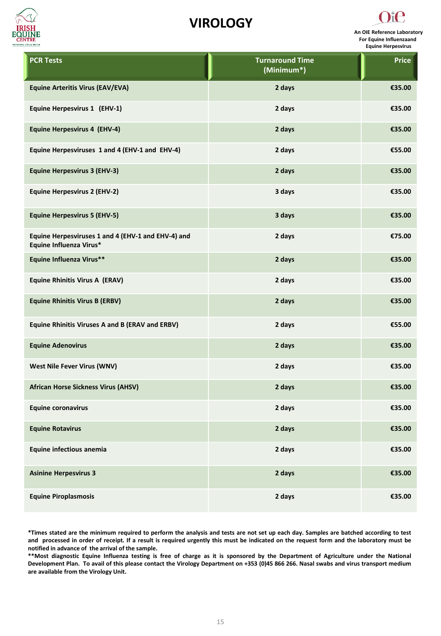

### **VIROLOGY**



**PCR Tests Turnaround Time (Minimum\*) Price Equine Arteritis Virus (EAV/EVA) 2 days €35.00 Equine Herpesvirus 1 (EHV-1) 2 days €35.00 Equine Herpesvirus 4 (EHV-4) 2 days €35.00 Equine Herpesviruses 1 and 4 (EHV-1 and EHV-4) 2 days €55.00 Equine Herpesvirus 3 (EHV-3) 2 days €35.00 Equine Herpesvirus 2 (EHV-2) 3 days €35.00 Equine Herpesvirus 5 (EHV-5) 3 days €35.00 Equine Herpesviruses 1 and 4 (EHV-1 and EHV-4) and Equine Influenza Virus\* 2 days €75.00 Equine Influenza Virus\*\* 2 days €35.00 Equine Rhinitis Virus A (ERAV) 2 days €35.00 Equine Rhinitis Virus B (ERBV) 2 days €35.00 Equine Rhinitis Viruses A and B (ERAV and ERBV) 2 days €55.00 Equine Adenovirus 2 days €35.00 West Nile Fever Virus (WNV) 2 days €35.00 African Horse Sickness Virus (AHSV) 2 days €35.00 Equine coronavirus 2 days €35.00 Equine Rotavirus 2 days €35.00 Equine infectious anemia 2 days €35.00 Asinine Herpesvirus 3 2 days €35.00 Equine Piroplasmosis 2 days €35.00**

\*Times stated are the minimum required to perform the analysis and tests are not set up each day. Samples are batched according to test and processed in order of receipt. If a result is required urgently this must be indicated on the request form and the laboratory must be **notified in advance of the arrival of the sample.**

\*\*Most diagnostic Equine Influenza testing is free of charge as it is sponsored by the Department of Agriculture under the National Development Plan. To avail of this please contact the Virology Department on +353 (0)45 866 266. Nasal swabs and virus transport medium **are available from the Virology Unit.**